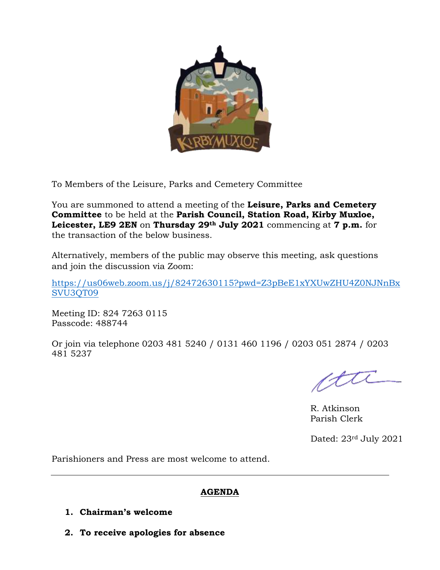

To Members of the Leisure, Parks and Cemetery Committee

You are summoned to attend a meeting of the **Leisure, Parks and Cemetery Committee** to be held at the **Parish Council, Station Road, Kirby Muxloe, Leicester, LE9 2EN** on **Thursday 29th July 2021** commencing at **7 p.m.** for the transaction of the below business.

Alternatively, members of the public may observe this meeting, ask questions and join the discussion via Zoom:

[https://us06web.zoom.us/j/82472630115?pwd=Z3pBeE1xYXUwZHU4Z0NJNnBx](https://us06web.zoom.us/j/82472630115?pwd=Z3pBeE1xYXUwZHU4Z0NJNnBxSVU3QT09) [SVU3QT09](https://us06web.zoom.us/j/82472630115?pwd=Z3pBeE1xYXUwZHU4Z0NJNnBxSVU3QT09)

Meeting ID: 824 7263 0115 Passcode: 488744

Or join via telephone 0203 481 5240 / 0131 460 1196 / 0203 051 2874 / 0203 481 5237

cttl

R. Atkinson Parish Clerk

Dated: 23rd July 2021

Parishioners and Press are most welcome to attend.

### **AGENDA**

- **1. Chairman's welcome**
- **2. To receive apologies for absence**